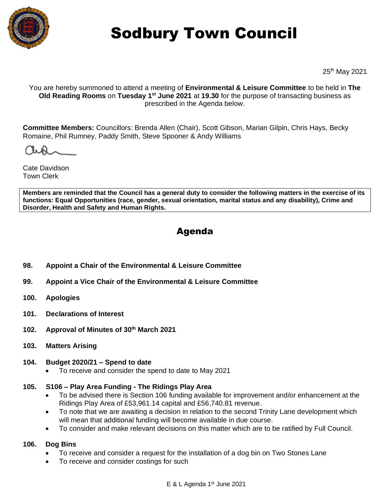

# Sodbury Town Council

25th May 2021

You are hereby summoned to attend a meeting of **Environmental & Leisure Committee** to be held in **The Old Reading Rooms** on Tuesday 1<sup>st</sup> June 2021 at 19.30 for the purpose of transacting business as prescribed in the Agenda below.

**Committee Members:** Councillors: Brenda Allen (Chair), Scott Gibson, Marian Gilpin, Chris Hays, Becky Romaine, Phil Rumney, Paddy Smith, Steve Spooner & Andy Williams

Cate Davidson Town Clerk

**Members are reminded that the Council has a general duty to consider the following matters in the exercise of its functions: Equal Opportunities (race, gender, sexual orientation, marital status and any disability), Crime and Disorder, Health and Safety and Human Rights.** 

# Agenda

- **98. Appoint a Chair of the Environmental & Leisure Committee**
- **99. Appoint a Vice Chair of the Environmental & Leisure Committee**
- **100. Apologies**
- **101. Declarations of Interest**
- **102. Approval of Minutes of 30th March 2021**
- **103. Matters Arising**

#### **104. Budget 2020/21 – Spend to date**

• To receive and consider the spend to date to May 2021

# **105. S106 – Play Area Funding - The Ridings Play Area**

- To be advised there is Section 106 funding available for improvement and/or enhancement at the Ridings Play Area of £53,961.14 capital and £56,740.81 revenue.
- To note that we are awaiting a decision in relation to the second Trinity Lane development which will mean that additional funding will become available in due course.
- To consider and make relevant decisions on this matter which are to be ratified by Full Council.

# **106. Dog Bins**

- To receive and consider a request for the installation of a dog bin on Two Stones Lane
- To receive and consider costings for such